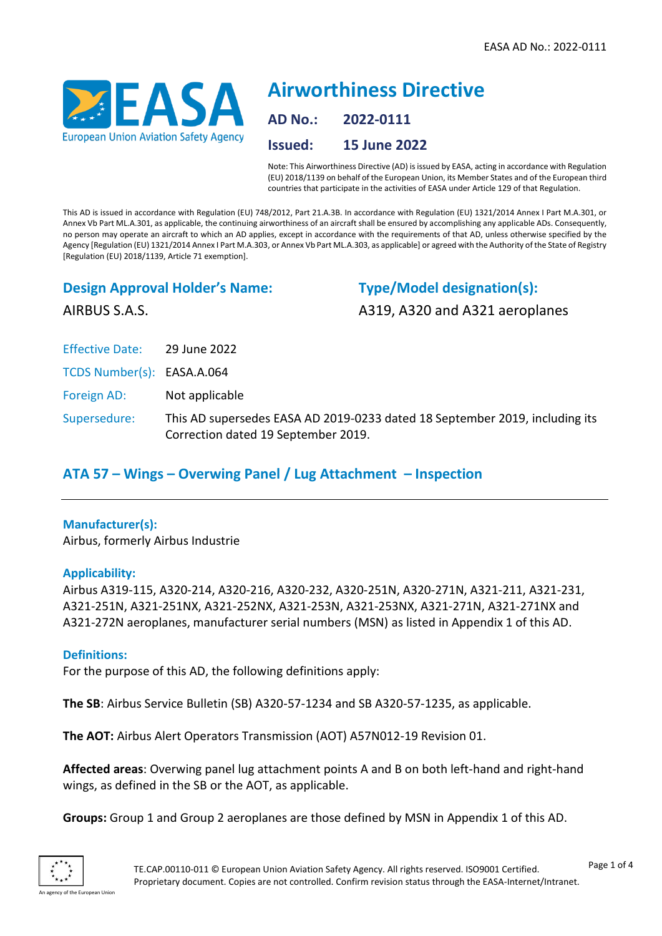

# **Airworthiness Directive AD No.: 2022-0111 Issued: 15 June 2022**

Note: This Airworthiness Directive (AD) is issued by EASA, acting in accordance with Regulation (EU) 2018/1139 on behalf of the European Union, its Member States and of the European third countries that participate in the activities of EASA under Article 129 of that Regulation.

This AD is issued in accordance with Regulation (EU) 748/2012, Part 21.A.3B. In accordance with Regulation (EU) 1321/2014 Annex I Part M.A.301, or Annex Vb Part ML.A.301, as applicable, the continuing airworthiness of an aircraft shall be ensured by accomplishing any applicable ADs. Consequently, no person may operate an aircraft to which an AD applies, except in accordance with the requirements of that AD, unless otherwise specified by the Agency [Regulation (EU) 1321/2014 Annex I Part M.A.303, or Annex Vb Part ML.A.303, as applicable] or agreed with the Authority of the State of Registry [Regulation (EU) 2018/1139, Article 71 exemption].

## **Design Approval Holder's Name:**

**Type/Model designation(s):** A319, A320 and A321 aeroplanes

AIRBUS S.A.S.

Effective Date: 29 June 2022

TCDS Number(s): EASA.A.064

Foreign AD: Not applicable

Supersedure: This AD supersedes EASA AD 2019-0233 dated 18 September 2019, including its Correction dated 19 September 2019.

## **ATA 57 – Wings – Overwing Panel / Lug Attachment – Inspection**

## **Manufacturer(s):**

Airbus, formerly Airbus Industrie

#### **Applicability:**

Airbus A319-115, A320-214, A320-216, A320-232, A320-251N, A320-271N, A321-211, A321-231, A321-251N, A321-251NX, A321-252NX, A321-253N, A321-253NX, A321-271N, A321-271NX and A321-272N aeroplanes, manufacturer serial numbers (MSN) as listed in Appendix 1 of this AD.

## **Definitions:**

For the purpose of this AD, the following definitions apply:

**The SB**: Airbus Service Bulletin (SB) A320-57-1234 and SB A320-57-1235, as applicable.

**The AOT:** Airbus Alert Operators Transmission (AOT) A57N012-19 Revision 01.

**Affected areas**: Overwing panel lug attachment points A and B on both left-hand and right-hand wings, as defined in the SB or the AOT, as applicable.

**Groups:** Group 1 and Group 2 aeroplanes are those defined by MSN in Appendix 1 of this AD.

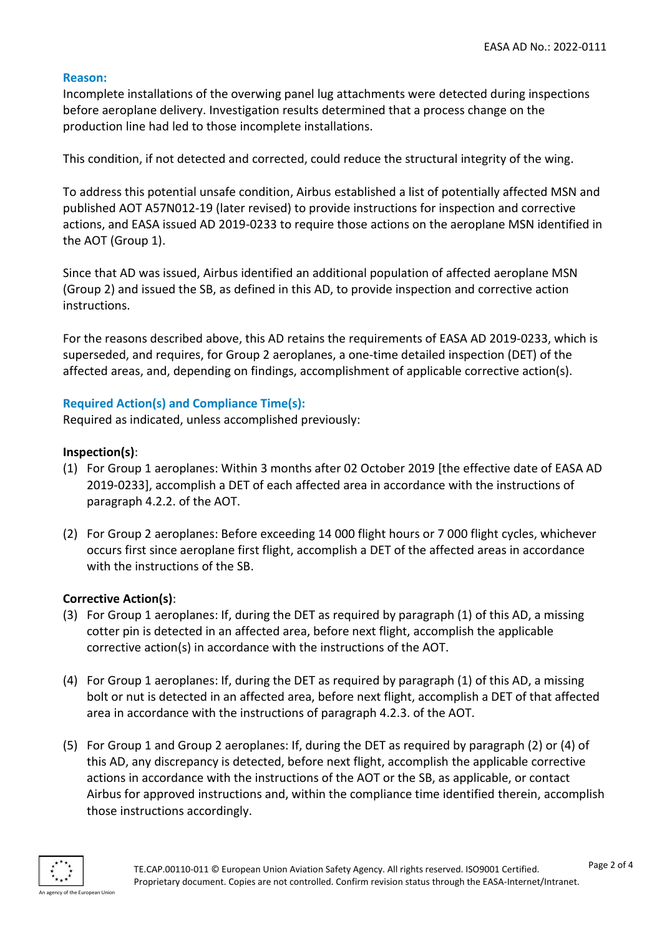#### **Reason:**

Incomplete installations of the overwing panel lug attachments were detected during inspections before aeroplane delivery. Investigation results determined that a process change on the production line had led to those incomplete installations.

This condition, if not detected and corrected, could reduce the structural integrity of the wing.

To address this potential unsafe condition, Airbus established a list of potentially affected MSN and published AOT A57N012-19 (later revised) to provide instructions for inspection and corrective actions, and EASA issued AD 2019-0233 to require those actions on the aeroplane MSN identified in the AOT (Group 1).

Since that AD was issued, Airbus identified an additional population of affected aeroplane MSN (Group 2) and issued the SB, as defined in this AD, to provide inspection and corrective action instructions.

For the reasons described above, this AD retains the requirements of EASA AD 2019-0233, which is superseded, and requires, for Group 2 aeroplanes, a one-time detailed inspection (DET) of the affected areas, and, depending on findings, accomplishment of applicable corrective action(s).

### **Required Action(s) and Compliance Time(s):**

Required as indicated, unless accomplished previously:

#### **Inspection(s)**:

- (1) For Group 1 aeroplanes: Within 3 months after 02 October 2019 [the effective date of EASA AD 2019-0233], accomplish a DET of each affected area in accordance with the instructions of paragraph 4.2.2. of the AOT.
- (2) For Group 2 aeroplanes: Before exceeding 14 000 flight hours or 7 000 flight cycles, whichever occurs first since aeroplane first flight, accomplish a DET of the affected areas in accordance with the instructions of the SB.

#### **Corrective Action(s)**:

- (3) For Group 1 aeroplanes: If, during the DET as required by paragraph (1) of this AD, a missing cotter pin is detected in an affected area, before next flight, accomplish the applicable corrective action(s) in accordance with the instructions of the AOT.
- (4) For Group 1 aeroplanes: If, during the DET as required by paragraph (1) of this AD, a missing bolt or nut is detected in an affected area, before next flight, accomplish a DET of that affected area in accordance with the instructions of paragraph 4.2.3. of the AOT.
- (5) For Group 1 and Group 2 aeroplanes: If, during the DET as required by paragraph (2) or (4) of this AD, any discrepancy is detected, before next flight, accomplish the applicable corrective actions in accordance with the instructions of the AOT or the SB, as applicable, or contact Airbus for approved instructions and, within the compliance time identified therein, accomplish those instructions accordingly.

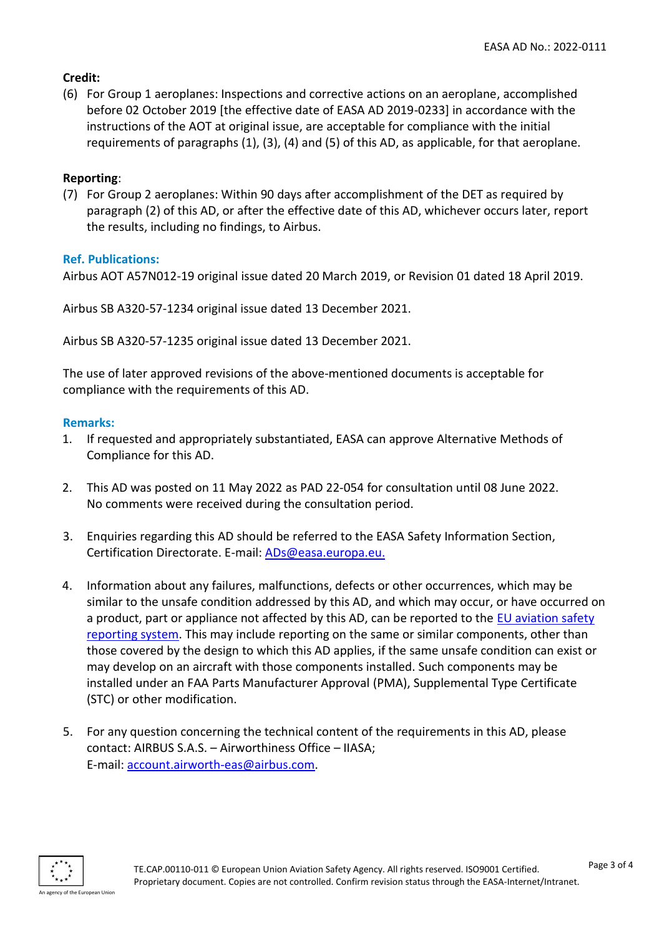## **Credit:**

(6) For Group 1 aeroplanes: Inspections and corrective actions on an aeroplane, accomplished before 02 October 2019 [the effective date of EASA AD 2019-0233] in accordance with the instructions of the AOT at original issue, are acceptable for compliance with the initial requirements of paragraphs (1), (3), (4) and (5) of this AD, as applicable, for that aeroplane.

## **Reporting**:

(7) For Group 2 aeroplanes: Within 90 days after accomplishment of the DET as required by paragraph (2) of this AD, or after the effective date of this AD, whichever occurs later, report the results, including no findings, to Airbus.

## **Ref. Publications:**

Airbus AOT A57N012-19 original issue dated 20 March 2019, or Revision 01 dated 18 April 2019.

Airbus SB A320-57-1234 original issue dated 13 December 2021.

Airbus SB A320-57-1235 original issue dated 13 December 2021.

The use of later approved revisions of the above-mentioned documents is acceptable for compliance with the requirements of this AD.

## **Remarks:**

- 1. If requested and appropriately substantiated, EASA can approve Alternative Methods of Compliance for this AD.
- 2. This AD was posted on 11 May 2022 as PAD 22-054 for consultation until 08 June 2022. No comments were received during the consultation period.
- 3. Enquiries regarding this AD should be referred to the EASA Safety Information Section, Certification Directorate. E-mail: [ADs@easa.europa.eu.](mailto:ADs@easa.europa.eu)
- 4. Information about any failures, malfunctions, defects or other occurrences, which may be similar to the unsafe condition addressed by this AD, and which may occur, or have occurred on a product, part or appliance not affected by this AD, can be reported to the [EU aviation safety](https://e2.aviationreporting.eu/reporting)  [reporting system.](https://e2.aviationreporting.eu/reporting) This may include reporting on the same or similar components, other than those covered by the design to which this AD applies, if the same unsafe condition can exist or may develop on an aircraft with those components installed. Such components may be installed under an FAA Parts Manufacturer Approval (PMA), Supplemental Type Certificate (STC) or other modification.
- 5. For any question concerning the technical content of the requirements in this AD, please contact: AIRBUS S.A.S. – Airworthiness Office – IIASA; E-mail: [account.airworth-eas@airbus.com.](mailto:account.airworth-eas@airbus.com)